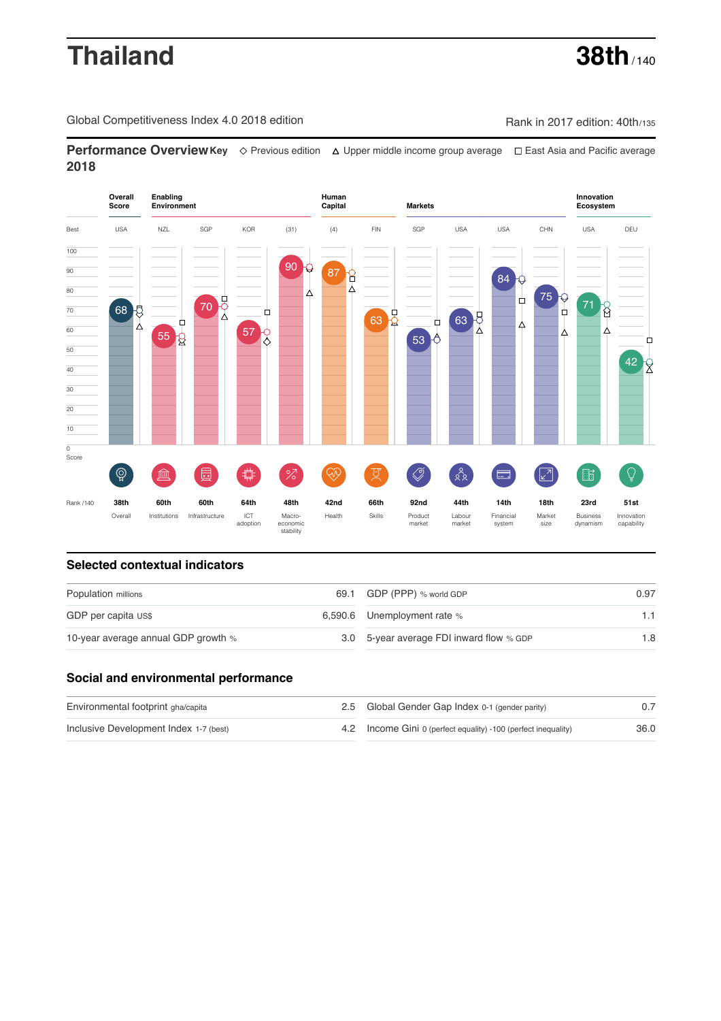# **Thailand 38th** / 140

Global Competitiveness Index 4.0 2018 edition Company Rank in 2017 edition: 40th/135

**Performance OverviewKey** Previous edition Upper middle income group average East Asia and Pacific average **2018**



# **Selected contextual indicators**

| Population millions                 | 69.1 GDP (PPP) % world GDP               | 0.97 |  |
|-------------------------------------|------------------------------------------|------|--|
| GDP per capita US\$                 | 6,590.6 Unemployment rate $%$            |      |  |
| 10-year average annual GDP growth % | 3.0 5-year average FDI inward flow % GDP | 1.8  |  |

## **Social and environmental performance**

| Environmental footprint gha/capita     | 2.5 Global Gender Gap Index 0-1 (gender parity)                |      |
|----------------------------------------|----------------------------------------------------------------|------|
| Inclusive Development Index 1-7 (best) | 4.2 Income Gini 0 (perfect equality) -100 (perfect inequality) | 36.0 |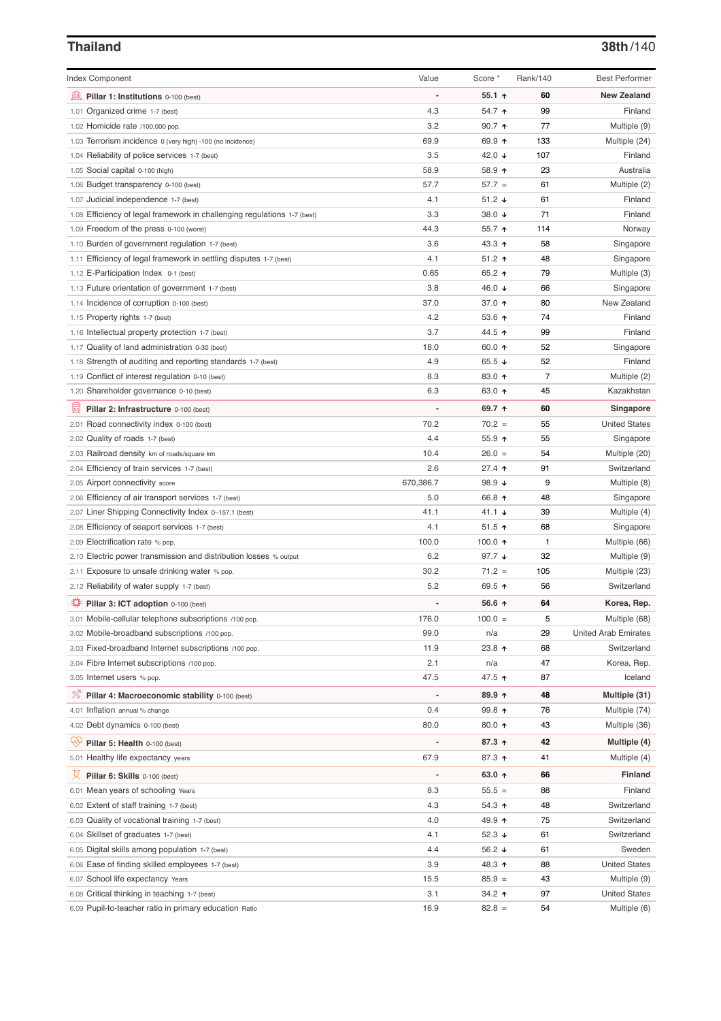### **Thailand 38th**/140

| <b>Index Component</b>                                                   | Value                    | Score *          | Rank/140       | <b>Best Performer</b>       |
|--------------------------------------------------------------------------|--------------------------|------------------|----------------|-----------------------------|
| Pillar 1: Institutions 0-100 (best)                                      | Ĭ.                       | 55.1 $\uparrow$  | 60             | <b>New Zealand</b>          |
| 1.01 Organized crime 1-7 (best)                                          | 4.3                      | 54.7 ↑           | 99             | Finland                     |
| 1.02 Homicide rate /100,000 pop.                                         | 3.2                      | $90.7$ 1         | 77             | Multiple (9)                |
| 1.03 Terrorism incidence 0 (very high) -100 (no incidence)               | 69.9                     | 69.9 ↑           | 133            | Multiple (24)               |
| 1.04 Reliability of police services 1-7 (best)                           | 3.5                      | 42.0 $\sqrt{ }$  | 107            | Finland                     |
| 1.05 Social capital 0-100 (high)                                         | 58.9                     | 58.9 ↑           | 23             | Australia                   |
| 1.06 Budget transparency 0-100 (best)                                    | 57.7                     | $57.7 =$         | 61             | Multiple (2)                |
| 1.07 Judicial independence 1-7 (best)                                    | 4.1                      | $51.2 +$         | 61             | Finland                     |
| 1.08 Efficiency of legal framework in challenging regulations 1-7 (best) | 3.3                      | 38.0 ↓           | 71             | Finland                     |
| 1.09 Freedom of the press 0-100 (worst)                                  | 44.3                     | 55.7 个           | 114            | Norway                      |
| 1.10 Burden of government regulation 1-7 (best)                          | 3.6                      | 43.3 ↑           | 58             | Singapore                   |
| 1.11 Efficiency of legal framework in settling disputes 1-7 (best)       | 4.1                      | $51.2$ ↑         | 48             | Singapore                   |
| 1.12 E-Participation Index 0-1 (best)                                    | 0.65                     | 65.2 ↑           | 79             | Multiple (3)                |
| 1.13 Future orientation of government 1-7 (best)                         | 3.8                      | 46.0 ↓           | 66             | Singapore                   |
| 1.14 Incidence of corruption 0-100 (best)                                | 37.0                     | 37.0 ↑           | 80             | New Zealand                 |
| 1.15 Property rights 1-7 (best)                                          | 4.2                      | 53.6 $\uparrow$  | 74             | Finland                     |
| 1.16 Intellectual property protection 1-7 (best)                         | 3.7                      | 44.5 ↑           | 99             | Finland                     |
| 1.17 Quality of land administration 0-30 (best)                          | 18.0                     | 60.0 $\uparrow$  | 52             | Singapore                   |
| 1.18 Strength of auditing and reporting standards 1-7 (best)             | 4.9                      | 65.5 $\sqrt{ }$  | 52             | Finland                     |
| 1.19 Conflict of interest regulation 0-10 (best)                         | 8.3                      | 83.0 个           | $\overline{7}$ | Multiple (2)                |
| 1.20 Shareholder governance 0-10 (best)                                  | 6.3                      | 63.0 ↑           | 45             | Kazakhstan                  |
| 員<br>Pillar 2: Infrastructure 0-100 (best)                               |                          | 69.7 ↑           | 60             | Singapore                   |
| 2.01 Road connectivity index 0-100 (best)                                | 70.2                     | $70.2 =$         | 55             | <b>United States</b>        |
| 2.02 Quality of roads 1-7 (best)                                         | 4.4                      | $55.9$ ↑         | 55             | Singapore                   |
| 2.03 Railroad density km of roads/square km                              | 10.4                     | $26.0 =$         | 54             | Multiple (20)               |
| 2.04 Efficiency of train services 1-7 (best)                             | 2.6                      | 27.4 ↑           | 91             | Switzerland                 |
| 2.05 Airport connectivity score                                          | 670,386.7                | 98.9 $\sqrt{ }$  | 9              | Multiple (8)                |
| 2.06 Efficiency of air transport services 1-7 (best)                     | 5.0                      | 66.8 ↑           | 48             | Singapore                   |
| 2.07 Liner Shipping Connectivity Index 0-157.1 (best)                    | 41.1                     | 41.1 $\sqrt{ }$  | 39             | Multiple (4)                |
| 2.08 Efficiency of seaport services 1-7 (best)                           | 4.1                      | $51.5$ ↑         | 68             | Singapore                   |
| 2.09 Electrification rate % pop.                                         | 100.0                    | 100.0 $\uparrow$ | 1              | Multiple (66)               |
| 2.10 Electric power transmission and distribution losses % output        | 6.2                      | 97.7 $\sqrt{ }$  | 32             | Multiple (9)                |
| 2.11 Exposure to unsafe drinking water % pop.                            | 30.2                     | $71.2 =$         | 105            | Multiple (23)               |
| 2.12 Reliability of water supply 1-7 (best)                              | 5.2                      | 69.5 ↑           | 56             | Switzerland                 |
| ₽<br>Pillar 3: ICT adoption 0-100 (best)                                 | $\overline{a}$           | 56.6 ↑           | 64             | Korea, Rep.                 |
| 3.01 Mobile-cellular telephone subscriptions /100 pop.                   | 176.0                    | $100.0 =$        | 5              | Multiple (68)               |
| 3.02 Mobile-broadband subscriptions /100 pop.                            | 99.0                     | n/a              | 29             | <b>United Arab Emirates</b> |
| 3.03 Fixed-broadband Internet subscriptions /100 pop.                    | 11.9                     | 23.8 个           | 68             | Switzerland                 |
| 3.04 Fibre Internet subscriptions /100 pop.                              | 2.1                      | n/a              | 47             | Korea, Rep.                 |
| 3.05 Internet users % pop.                                               | 47.5                     | 47.5 ↑           | 87             | Iceland                     |
| ℅<br>Pillar 4: Macroeconomic stability 0-100 (best)                      | $\overline{\phantom{a}}$ | 89.9 个           | 48             | Multiple (31)               |
| 4.01 Inflation annual % change                                           | 0.4                      | 99.8 个           | 76             | Multiple (74)               |
| 4.02 Debt dynamics 0-100 (best)                                          | 80.0                     | 80.0 个           | 43             | Multiple (36)               |
| ₩<br>Pillar 5: Health 0-100 (best)                                       |                          | 87.3 ↑           | 42             | Multiple (4)                |
| 5.01 Healthy life expectancy years                                       | 67.9                     | 87.3 个           | 41             | Multiple (4)                |
|                                                                          |                          |                  |                |                             |
| 섯<br>Pillar 6: Skills 0-100 (best)                                       | $\overline{\phantom{0}}$ | 63.0 $\uparrow$  | 66             | Finland                     |
| 6.01 Mean years of schooling Years                                       | 8.3                      | $55.5 =$         | 88             | Finland                     |
| 6.02 Extent of staff training 1-7 (best)                                 | 4.3                      | $54.3$ ↑         | 48             | Switzerland                 |
| 6.03 Quality of vocational training 1-7 (best)                           | 4.0                      | 49.9 ↑           | 75             | Switzerland                 |
| 6.04 Skillset of graduates 1-7 (best)                                    | 4.1                      | 52.3 $\sqrt{ }$  | 61             | Switzerland                 |
| 6.05 Digital skills among population 1-7 (best)                          | 4.4                      | 56.2 $\sqrt{ }$  | 61             | Sweden                      |
| 6.06 Ease of finding skilled employees 1-7 (best)                        | 3.9                      | 48.3 ↑           | 88             | <b>United States</b>        |
| 6.07 School life expectancy Years                                        | 15.5                     | $85.9 =$         | 43             | Multiple (9)                |
| 6.08 Critical thinking in teaching 1-7 (best)                            | 3.1                      | 34.2 ↑           | 97             | <b>United States</b>        |
| 6.09 Pupil-to-teacher ratio in primary education Ratio                   | 16.9                     | $82.8 =$         | 54             | Multiple (6)                |